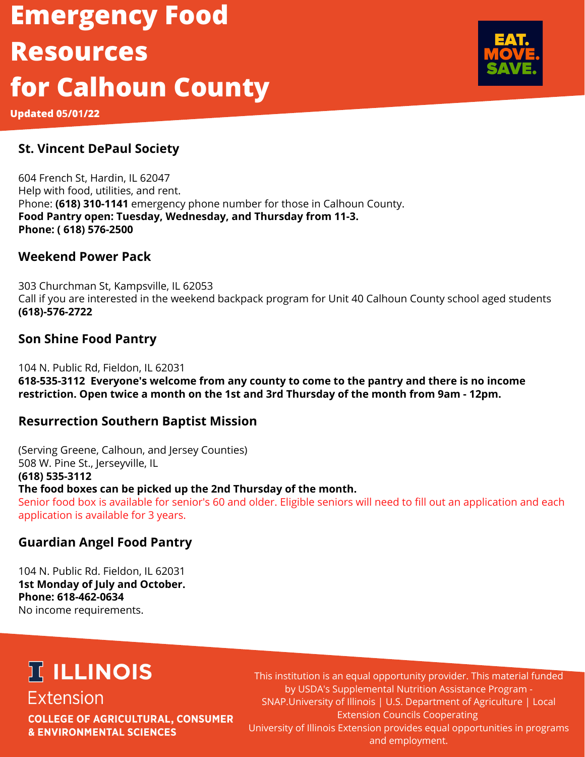# **Emergency Food Resources for Calhoun County**

**Updated 05/01/22**

### **St. Vincent DePaul Society**

604 French St, Hardin, IL 62047 Help with food, utilities, and rent. Phone: **(618) 310-1141** emergency phone number for those in Calhoun County. **Food Pantry open: Tuesday, Wednesday, and Thursday from 11-3. Phone: ( 618) 576-2500** 

#### **Weekend Power Pack**

303 Churchman St, Kampsville, IL 62053 Call if you are interested in the weekend backpack program for Unit 40 Calhoun County school aged students **(618)-576-2722**

### **Son Shine Food Pantry**

104 N. Public Rd, Fieldon, IL 62031 **618-535-3112 Everyone's welcome from any county to come to the pantry and there is no income restriction. Open twice a month on the 1st and 3rd Thursday of the month from 9am - 12pm.**

### **Resurrection Southern Baptist Mission**

(Serving Greene, Calhoun, and Jersey Counties) 508 W. Pine St., Jerseyville, IL **(618) 535-3112 The food boxes can be picked up the 2nd Thursday of the month.** Senior food box is available for senior's 60 and older. Eligible seniors will need to fill out an application and each application is available for 3 years.

### **Guardian Angel Food Pantry**

104 N. Public Rd. Fieldon, IL 62031 **1st Monday of July and October. Phone: 618-462-0634** No income requirements.

## **IT ILLINOIS Extension**

**COLLEGE OF AGRICULTURAL, CONSUMER & ENVIRONMENTAL SCIENCES** 

This institution is an equal opportunity provider. This material funded by USDA's Supplemental Nutrition Assistance Program - SNAP.University of Illinois | U.S. Department of Agriculture | Local Extension Councils Cooperating University of Illinois Extension provides equal opportunities in programs and employment.